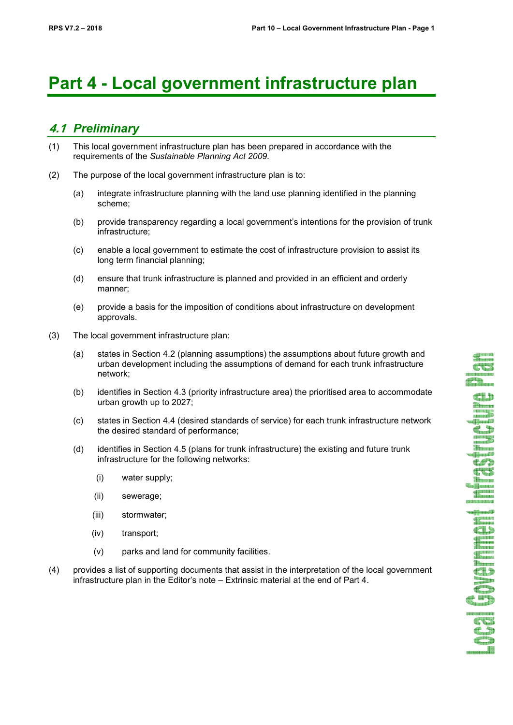# **Part 4 - Local government infrastructure plan**

# **4.1** *Preliminary*

- (1) This local government infrastructure plan has been prepared in accordance with the requirements of the *Sustainable Planning Act 2009*.
- (2) The purpose of the local government infrastructure plan is to:
	- (a) integrate infrastructure planning with the land use planning identified in the planning scheme;
	- (b) provide transparency regarding a local government's intentions for the provision of trunk infrastructure;
	- (c) enable a local government to estimate the cost of infrastructure provision to assist its long term financial planning;
	- (d) ensure that trunk infrastructure is planned and provided in an efficient and orderly manner;
	- (e) provide a basis for the imposition of conditions about infrastructure on development approvals.
- (3) The local government infrastructure plan:
	- (a) states in Section 4.2 (planning assumptions) the assumptions about future growth and urban development including the assumptions of demand for each trunk infrastructure network;
	- (b) identifies in Section 4.3 (priority infrastructure area) the prioritised area to accommodate urban growth up to 2027;
	- (c) states in Section 4.4 (desired standards of service) for each trunk infrastructure network the desired standard of performance;
	- (d) identifies in Section 4.5 (plans for trunk infrastructure) the existing and future trunk infrastructure for the following networks:
		- (i) water supply;
		- (ii) sewerage;
		- (iii) stormwater;
		- (iv) transport;
		- (v) parks and land for community facilities.
- (4) provides a list of supporting documents that assist in the interpretation of the local government infrastructure plan in the Editor's note – Extrinsic material at the end of Part 4.

**CER** d. Th

**Tana**  $\blacksquare$ **Tana Thomas** 

ES<br>45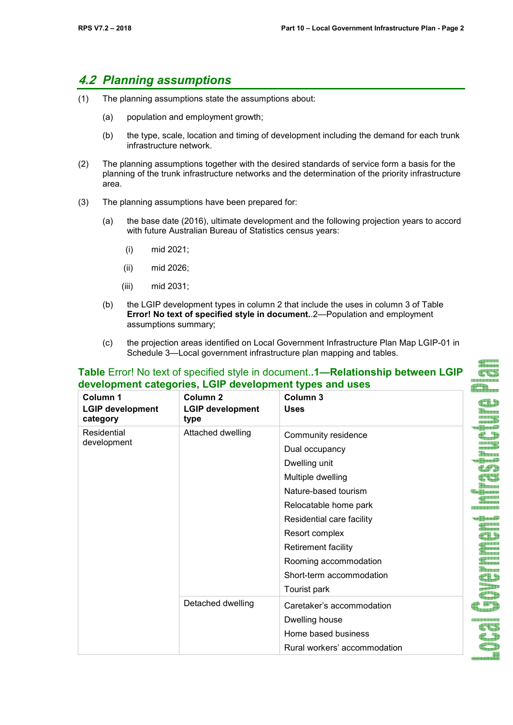di januar<br>Januar CC

# **4.2** *Planning assumptions*

- (1) The planning assumptions state the assumptions about:
	- (a) population and employment growth;
	- (b) the type, scale, location and timing of development including the demand for each trunk infrastructure network.
- (2) The planning assumptions together with the desired standards of service form a basis for the planning of the trunk infrastructure networks and the determination of the priority infrastructure area.
- (3) The planning assumptions have been prepared for:
	- (a) the base date (2016), ultimate development and the following projection years to accord with future Australian Bureau of Statistics census years:
		- (i) mid 2021;
		- (ii) mid 2026;
		- (iii) mid 2031;
	- (b) the LGIP development types in column 2 that include the uses in column 3 of Table **Error! No text of specified style in document.**.2—Population and employment assumptions summary;

**Table** Error! No text of specified style in document.**.1—Relationship between LGIP** 

(c) the projection areas identified on Local Government Infrastructure Plan Map LGIP-01 in Schedule 3—Local government infrastructure plan mapping and tables.

| Column <sub>1</sub><br><b>LGIP development</b><br>category | Column <sub>2</sub><br><b>LGIP development</b><br>type | Column <sub>3</sub><br><b>Uses</b> |  |
|------------------------------------------------------------|--------------------------------------------------------|------------------------------------|--|
| Residential                                                | Attached dwelling                                      | Community residence                |  |
| development                                                |                                                        | Dual occupancy                     |  |
|                                                            |                                                        | Dwelling unit                      |  |
|                                                            |                                                        | Multiple dwelling                  |  |
|                                                            |                                                        | Nature-based tourism               |  |
|                                                            |                                                        | Relocatable home park              |  |
|                                                            |                                                        | Residential care facility          |  |
|                                                            |                                                        | Resort complex                     |  |
|                                                            |                                                        | Retirement facility                |  |
|                                                            |                                                        | Rooming accommodation              |  |
|                                                            |                                                        | Short-term accommodation           |  |
|                                                            |                                                        | Tourist park                       |  |
|                                                            | Detached dwelling                                      | Caretaker's accommodation          |  |
|                                                            |                                                        | Dwelling house                     |  |
|                                                            |                                                        | Home based business                |  |
|                                                            |                                                        | Rural workers' accommodation       |  |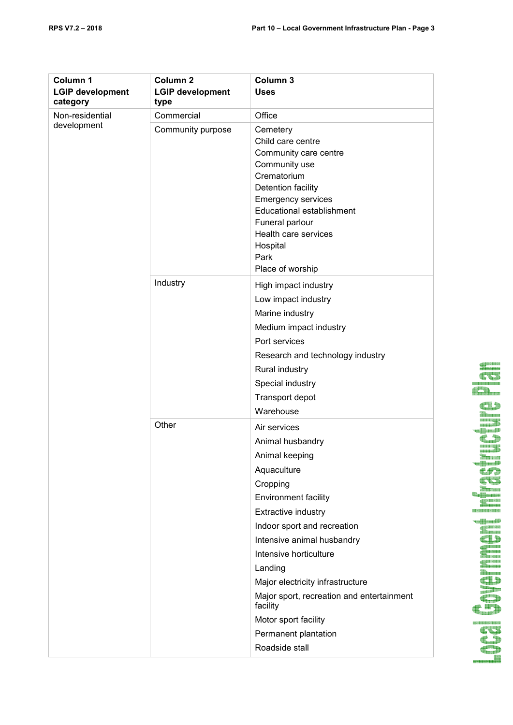| Column 1<br><b>LGIP development</b><br>category | Column <sub>2</sub><br><b>LGIP development</b><br>type | Column <sub>3</sub><br><b>Uses</b>                                                                                                                                                                                                                                                                                                                                                                   |
|-------------------------------------------------|--------------------------------------------------------|------------------------------------------------------------------------------------------------------------------------------------------------------------------------------------------------------------------------------------------------------------------------------------------------------------------------------------------------------------------------------------------------------|
| Non-residential<br>development                  | Commercial                                             | Office                                                                                                                                                                                                                                                                                                                                                                                               |
|                                                 | Community purpose                                      | Cemetery<br>Child care centre<br>Community care centre<br>Community use<br>Crematorium<br>Detention facility<br><b>Emergency services</b><br>Educational establishment<br>Funeral parlour<br>Health care services<br>Hospital<br>Park<br>Place of worship                                                                                                                                            |
|                                                 | Industry                                               | High impact industry<br>Low impact industry<br>Marine industry<br>Medium impact industry<br>Port services<br>Research and technology industry<br>Rural industry<br>Special industry<br>Transport depot<br>Warehouse                                                                                                                                                                                  |
|                                                 | Other                                                  | Air services<br>Animal husbandry<br>Animal keeping<br>Aquaculture<br>Cropping<br><b>Environment facility</b><br>Extractive industry<br>Indoor sport and recreation<br>Intensive animal husbandry<br>Intensive horticulture<br>Landing<br>Major electricity infrastructure<br>Major sport, recreation and entertainment<br>facility<br>Motor sport facility<br>Permanent plantation<br>Roadside stall |

## Fun **BERGERICHSHORNE** a series de la parte

 $\mathbf{1}$ **SHISTER** 

<u> 1919 to 1110 to 1919 to 1</u>

SS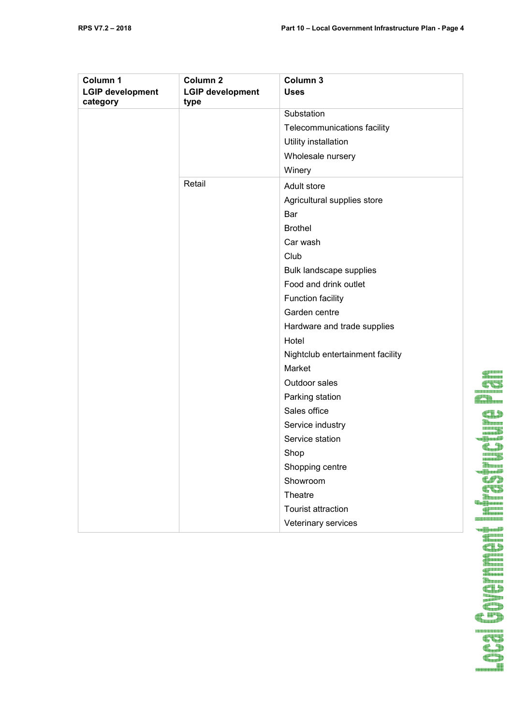| Column 1<br><b>LGIP development</b><br>category | Column <sub>2</sub><br><b>LGIP development</b><br>type | Column 3<br><b>Uses</b>          |
|-------------------------------------------------|--------------------------------------------------------|----------------------------------|
|                                                 |                                                        | Substation                       |
|                                                 |                                                        | Telecommunications facility      |
|                                                 |                                                        | Utility installation             |
|                                                 |                                                        | Wholesale nursery                |
|                                                 |                                                        | Winery                           |
|                                                 | Retail                                                 | Adult store                      |
|                                                 |                                                        | Agricultural supplies store      |
|                                                 |                                                        | Bar                              |
|                                                 |                                                        | <b>Brothel</b>                   |
|                                                 |                                                        | Car wash                         |
|                                                 |                                                        | Club                             |
|                                                 |                                                        | Bulk landscape supplies          |
|                                                 |                                                        | Food and drink outlet            |
|                                                 |                                                        | Function facility                |
|                                                 |                                                        | Garden centre                    |
|                                                 |                                                        | Hardware and trade supplies      |
|                                                 |                                                        | Hotel                            |
|                                                 |                                                        | Nightclub entertainment facility |
|                                                 |                                                        | Market                           |
|                                                 |                                                        | Outdoor sales                    |
|                                                 |                                                        | Parking station                  |
|                                                 |                                                        | Sales office                     |
|                                                 |                                                        | Service industry                 |
|                                                 |                                                        | Service station                  |
|                                                 |                                                        | Shop                             |
|                                                 |                                                        | Shopping centre                  |
|                                                 |                                                        | Showroom                         |
|                                                 |                                                        | Theatre                          |
|                                                 |                                                        | Tourist attraction               |
|                                                 |                                                        | Veterinary services              |

**Governer** 

ananan<sup>181</sup>

din ka

**URBER** 

容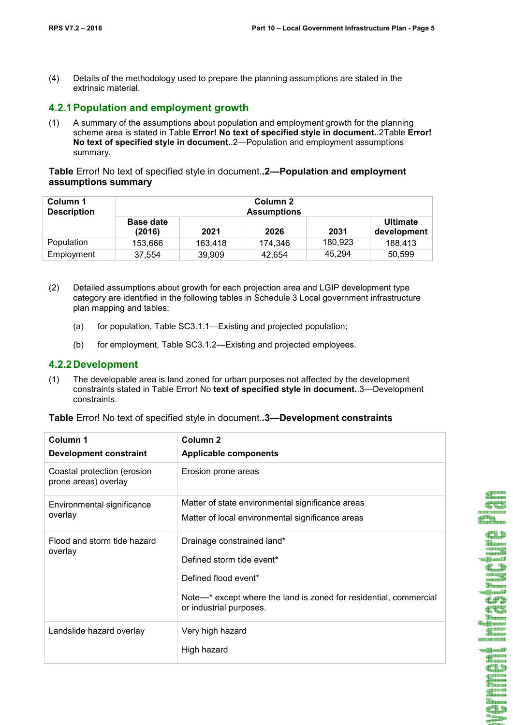(4) Details of the methodology used to prepare the planning assumptions are stated in the extrinsic material.

## **4.2.1 Population and employment growth**

(1) A summary of the assumptions about population and employment growth for the planning scheme area is stated in Table **Error! No text of specified style in document.**.2Table **Error! No text of specified style in document.**.2—Population and employment assumptions summary.

**Table** Error! No text of specified style in document.**.2—Population and employment assumptions summary** 

| Column 1<br><b>Description</b> | Column 2<br><b>Assumptions</b> |         |         |         |                                |
|--------------------------------|--------------------------------|---------|---------|---------|--------------------------------|
|                                | <b>Base date</b><br>(2016)     | 2021    | 2026    | 2031    | <b>Ultimate</b><br>development |
| Population                     | 153,666                        | 163.418 | 174.346 | 180.923 | 188.413                        |
| Employment                     | 37,554                         | 39,909  | 42,654  | 45,294  | 50,599                         |

- (2) Detailed assumptions about growth for each projection area and LGIP development type category are identified in the following tables in Schedule 3 Local government infrastructure plan mapping and tables:
	- (a) for population, Table SC3.1.1—Existing and projected population;
	- (b) for employment, Table SC3.1.2—Existing and projected employees.

### **4.2.2 Development**

(1) The developable area is land zoned for urban purposes not affected by the development constraints stated in Table Error! No **text of specified style in document.**.3—Development constraints.

| Column 1<br><b>Development constraint</b>           | Column <sub>2</sub><br><b>Applicable components</b>                                                                                                                             |
|-----------------------------------------------------|---------------------------------------------------------------------------------------------------------------------------------------------------------------------------------|
| Coastal protection (erosion<br>prone areas) overlay | Erosion prone areas                                                                                                                                                             |
| Environmental significance<br>overlay               | Matter of state environmental significance areas<br>Matter of local environmental significance areas                                                                            |
| Flood and storm tide hazard<br>overlay              | Drainage constrained land*<br>Defined storm tide event*<br>Defined flood event*<br>Note—* except where the land is zoned for residential, commercial<br>or industrial purposes. |
| Landslide hazard overlay                            | Very high hazard<br>High hazard                                                                                                                                                 |

**Table** Error! No text of specified style in document.**.3—Development constraints** 

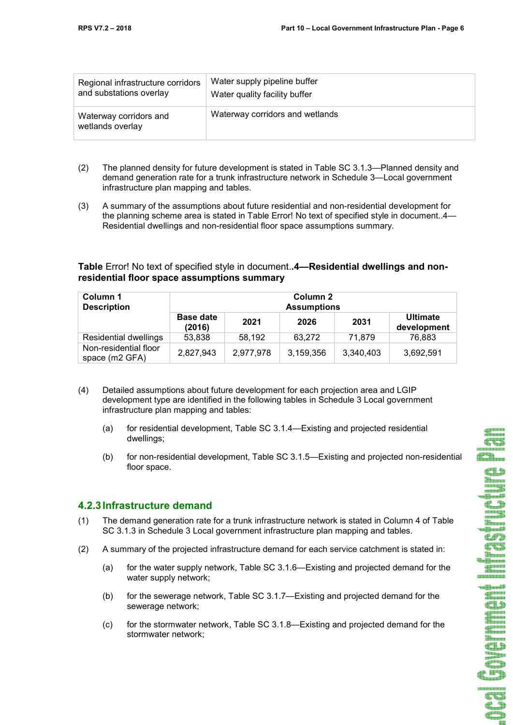**CVS** 

T ilingan<br>Albumid  $\epsilon$ f) **CUS**  $\begin{picture}(20,10) \put(0,0){\line(1,0){10}} \put(10,0){\line(1,0){10}} \put(10,0){\line(1,0){10}} \put(10,0){\line(1,0){10}} \put(10,0){\line(1,0){10}} \put(10,0){\line(1,0){10}} \put(10,0){\line(1,0){10}} \put(10,0){\line(1,0){10}} \put(10,0){\line(1,0){10}} \put(10,0){\line(1,0){10}} \put(10,0){\line(1,0){10}} \put(10,0){\line(1$ **TELESISION** *<u>ENGINEERING SERIES</u>* u**ili**nudi<sup>y</sup> **TELESCOPE CL** ganan<br>Aman  $\overline{\text{CD}}$  $\leftarrow$ ,,,,,,,,,,,,,,,,,,,  $E_{\perp}$ æ ħ

| Regional infrastructure corridors          | Water supply pipeline buffer    |
|--------------------------------------------|---------------------------------|
| and substations overlay                    | Water quality facility buffer   |
| Waterway corridors and<br>wetlands overlay | Waterway corridors and wetlands |

- (2) The planned density for future development is stated in Table SC 3.1.3—Planned density and demand generation rate for a trunk infrastructure network in Schedule 3—Local government infrastructure plan mapping and tables.
- (3) A summary of the assumptions about future residential and non-residential development for the planning scheme area is stated in Table Error! No text of specified style in document..4— Residential dwellings and non-residential floor space assumptions summary.

## **Table** Error! No text of specified style in document.**.4—Residential dwellings and nonresidential floor space assumptions summary**

| Column 1<br><b>Description</b>          | Column 2<br><b>Assumptions</b> |           |           |           |                                |
|-----------------------------------------|--------------------------------|-----------|-----------|-----------|--------------------------------|
|                                         | <b>Base date</b><br>(2016)     | 2021      | 2026      | 2031      | <b>Ultimate</b><br>development |
| Residential dwellings                   | 53,838                         | 58,192    | 63.272    | 71.879    | 76,883                         |
| Non-residential floor<br>space (m2 GFA) | 2,827,943                      | 2,977,978 | 3,159,356 | 3,340,403 | 3,692,591                      |

- (4) Detailed assumptions about future development for each projection area and LGIP development type are identified in the following tables in Schedule 3 Local government infrastructure plan mapping and tables:
	- (a) for residential development, Table SC 3.1.4—Existing and projected residential dwellings;
	- (b) for non-residential development, Table SC 3.1.5—Existing and projected non-residential floor space.

## **4.2.3 Infrastructure demand**

- (1) The demand generation rate for a trunk infrastructure network is stated in Column 4 of Table SC 3.1.3 in Schedule 3 Local government infrastructure plan mapping and tables.
- (2) A summary of the projected infrastructure demand for each service catchment is stated in:
	- (a) for the water supply network, Table SC 3.1.6—Existing and projected demand for the water supply network;
	- (b) for the sewerage network, Table SC 3.1.7—Existing and projected demand for the sewerage network;
	- (c) for the stormwater network, Table SC 3.1.8—Existing and projected demand for the stormwater network;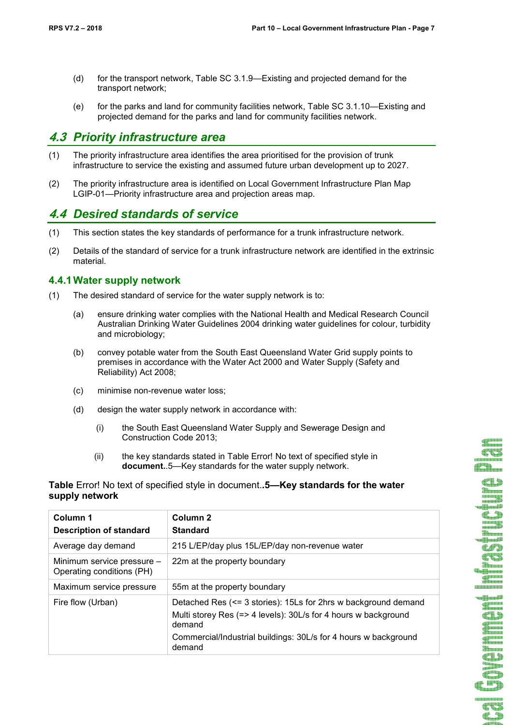CO  $f_{\rm{min}}$  $\blacksquare$ ar.<br>Bibiometr **Manual** 2 **Therma CFD CUL** er.<br>Element the state of the state of the state of the state of the state of the state of the state of the state of the st<br>State of the state of the state of the state of the state of the state of the state of the state of the state o **BISISISISISISI The Company TERRITORY CD** and a series anasaa<br>**diin**aana ar<br>Elizabet CD <u>inang pa</u> CD 

> CU  $\triangle$

- (d) for the transport network, Table SC 3.1.9—Existing and projected demand for the transport network;
- (e) for the parks and land for community facilities network, Table SC 3.1.10—Existing and projected demand for the parks and land for community facilities network.

# **4.3** *Priority infrastructure area*

- (1) The priority infrastructure area identifies the area prioritised for the provision of trunk infrastructure to service the existing and assumed future urban development up to 2027.
- (2) The priority infrastructure area is identified on Local Government Infrastructure Plan Map LGIP-01—Priority infrastructure area and projection areas map.

# **4.4** *Desired standards of service*

- (1) This section states the key standards of performance for a trunk infrastructure network.
- (2) Details of the standard of service for a trunk infrastructure network are identified in the extrinsic material.

#### **4.4.1 Water supply network**

- (1) The desired standard of service for the water supply network is to:
	- (a) ensure drinking water complies with the National Health and Medical Research Council Australian Drinking Water Guidelines 2004 drinking water guidelines for colour, turbidity and microbiology;
	- (b) convey potable water from the South East Queensland Water Grid supply points to premises in accordance with the Water Act 2000 and Water Supply (Safety and Reliability) Act 2008;
	- (c) minimise non-revenue water loss;
	- (d) design the water supply network in accordance with:
		- (i) the South East Queensland Water Supply and Sewerage Design and Construction Code 2013;
		- (ii) the key standards stated in Table Error! No text of specified style in **document.**.5—Key standards for the water supply network.

#### **Table** Error! No text of specified style in document.**.5—Key standards for the water supply network**

| Column 1<br><b>Description of standard</b>              | Column <sub>2</sub><br><b>Standard</b>                                                                                                                                                                                  |
|---------------------------------------------------------|-------------------------------------------------------------------------------------------------------------------------------------------------------------------------------------------------------------------------|
| Average day demand                                      | 215 L/EP/day plus 15L/EP/day non-revenue water                                                                                                                                                                          |
| Minimum service pressure -<br>Operating conditions (PH) | 22m at the property boundary                                                                                                                                                                                            |
| Maximum service pressure                                | 55m at the property boundary                                                                                                                                                                                            |
| Fire flow (Urban)                                       | Detached Res (<= 3 stories): 15Ls for 2hrs w background demand<br>Multi storey Res (=> 4 levels): 30L/s for 4 hours w background<br>demand<br>Commercial/Industrial buildings: 30L/s for 4 hours w background<br>demand |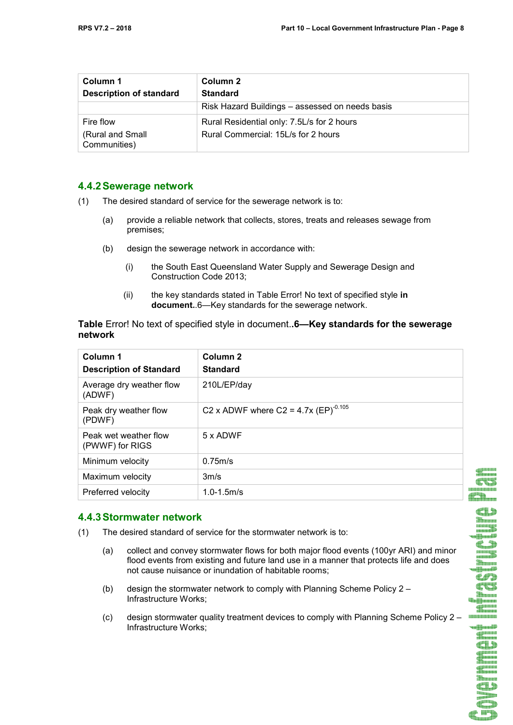| Column 1<br><b>Description of standard</b> | Column 2<br><b>Standard</b>                     |
|--------------------------------------------|-------------------------------------------------|
|                                            | Risk Hazard Buildings – assessed on needs basis |
| Fire flow                                  | Rural Residential only: 7.5L/s for 2 hours      |
| (Rural and Small<br>Communities)           | Rural Commercial: 15L/s for 2 hours             |

#### **4.4.2 Sewerage network**

- (1) The desired standard of service for the sewerage network is to:
	- (a) provide a reliable network that collects, stores, treats and releases sewage from premises;
	- (b) design the sewerage network in accordance with:
		- (i) the South East Queensland Water Supply and Sewerage Design and Construction Code 2013;
		- (ii) the key standards stated in Table Error! No text of specified style **in document.**.6—Key standards for the sewerage network.

#### **Table** Error! No text of specified style in document.**.6—Key standards for the sewerage network**

| Column 1<br><b>Description of Standard</b> | Column <sub>2</sub><br><b>Standard</b>    |
|--------------------------------------------|-------------------------------------------|
| Average dry weather flow<br>(ADWF)         | 210L/EP/day                               |
| Peak dry weather flow<br>(PDWF)            | C2 x ADWF where C2 = 4.7x $(EP)^{-0.105}$ |
| Peak wet weather flow<br>(PWWF) for RIGS   | 5 x ADWF                                  |
| Minimum velocity                           | 0.75m/s                                   |
| Maximum velocity                           | 3m/s                                      |
| Preferred velocity                         | $1.0 - 1.5$ m/s                           |

## **4.4.3 Stormwater network**

- (1) The desired standard of service for the stormwater network is to:
	- (a) collect and convey stormwater flows for both major flood events (100yr ARI) and minor flood events from existing and future land use in a manner that protects life and does not cause nuisance or inundation of habitable rooms;
	- (b) design the stormwater network to comply with Planning Scheme Policy 2 Infrastructure Works;
	- (c) design stormwater quality treatment devices to comply with Planning Scheme Policy 2 Infrastructure Works;

<u>an a</u> **Comp** CD

**CONTRACT** CC 88888888 d<sup>an</sup>n.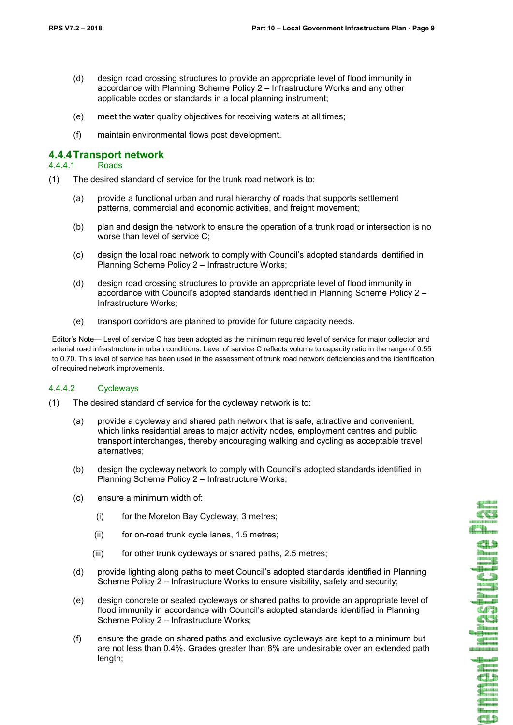CT Æħ.

**The Second**  $\ddot{\epsilon}$ din.<br>Alikuwana u Wandi **C**#9 CU ibaan<br>Ingiraan  $\frac{1}{\sqrt{2}}$ 21212131212121312 r<mark>a book</mark> **TERRIT** GD

> din.<br>Bibliometri æ

- (d) design road crossing structures to provide an appropriate level of flood immunity in accordance with Planning Scheme Policy 2 – Infrastructure Works and any other applicable codes or standards in a local planning instrument;
- (e) meet the water quality objectives for receiving waters at all times;
- (f) maintain environmental flows post development.

# **4.4.4 Transport network**

#### 4.4.4.1

- (1) The desired standard of service for the trunk road network is to:
	- (a) provide a functional urban and rural hierarchy of roads that supports settlement patterns, commercial and economic activities, and freight movement;
	- (b) plan and design the network to ensure the operation of a trunk road or intersection is no worse than level of service C;
	- (c) design the local road network to comply with Council's adopted standards identified in Planning Scheme Policy 2 – Infrastructure Works;
	- (d) design road crossing structures to provide an appropriate level of flood immunity in accordance with Council's adopted standards identified in Planning Scheme Policy 2 – Infrastructure Works;
	- (e) transport corridors are planned to provide for future capacity needs.

Editor's Note— Level of service C has been adopted as the minimum required level of service for major collector and arterial road infrastructure in urban conditions. Level of service C reflects volume to capacity ratio in the range of 0.55 to 0.70. This level of service has been used in the assessment of trunk road network deficiencies and the identification of required network improvements.

#### 4.4.4.2 Cycleways

- (1) The desired standard of service for the cycleway network is to:
	- (a) provide a cycleway and shared path network that is safe, attractive and convenient, which links residential areas to major activity nodes, employment centres and public transport interchanges, thereby encouraging walking and cycling as acceptable travel alternatives;
	- (b) design the cycleway network to comply with Council's adopted standards identified in Planning Scheme Policy 2 – Infrastructure Works;
	- (c) ensure a minimum width of:
		- (i) for the Moreton Bay Cycleway, 3 metres;
		- (ii) for on-road trunk cycle lanes, 1.5 metres;
		- (iii) for other trunk cycleways or shared paths, 2.5 metres;
	- (d) provide lighting along paths to meet Council's adopted standards identified in Planning Scheme Policy 2 – Infrastructure Works to ensure visibility, safety and security;
	- (e) design concrete or sealed cycleways or shared paths to provide an appropriate level of flood immunity in accordance with Council's adopted standards identified in Planning Scheme Policy 2 – Infrastructure Works;
	- (f) ensure the grade on shared paths and exclusive cycleways are kept to a minimum but are not less than 0.4%. Grades greater than 8% are undesirable over an extended path length;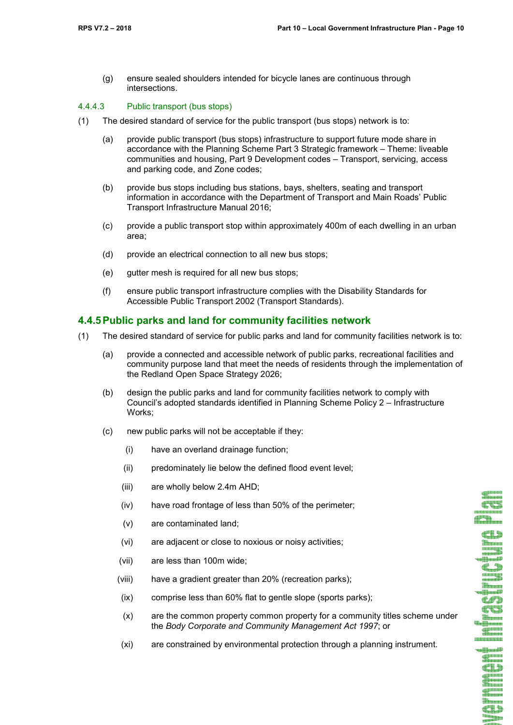CO Æħ.

a and a unilikuundil **C.D Thomas** u**il**lund<sup>y</sup> CFD CU **SHERMAN DISTRIBUT** alljand?<br>E<sup>gman</sup>

 $\frac{1}{2}$ 

di Januari<br>Shimoni **Thomas** CD summannin<br>1980-list

(g) ensure sealed shoulders intended for bicycle lanes are continuous through intersections.

#### 4.4.4.3 Public transport (bus stops)

- (1) The desired standard of service for the public transport (bus stops) network is to:
	- (a) provide public transport (bus stops) infrastructure to support future mode share in accordance with the Planning Scheme Part 3 Strategic framework – Theme: liveable communities and housing, Part 9 Development codes – Transport, servicing, access and parking code, and Zone codes;
	- (b) provide bus stops including bus stations, bays, shelters, seating and transport information in accordance with the Department of Transport and Main Roads' Public Transport Infrastructure Manual 2016;
	- (c) provide a public transport stop within approximately 400m of each dwelling in an urban area;
	- (d) provide an electrical connection to all new bus stops;
	- (e) gutter mesh is required for all new bus stops;
	- (f) ensure public transport infrastructure complies with the Disability Standards for Accessible Public Transport 2002 (Transport Standards).

#### **4.4.5 Public parks and land for community facilities network**

- (1) The desired standard of service for public parks and land for community facilities network is to:
	- (a) provide a connected and accessible network of public parks, recreational facilities and community purpose land that meet the needs of residents through the implementation of the Redland Open Space Strategy 2026;
	- (b) design the public parks and land for community facilities network to comply with Council's adopted standards identified in Planning Scheme Policy 2 – Infrastructure Works;
	- (c) new public parks will not be acceptable if they:
		- (i) have an overland drainage function;
		- (ii) predominately lie below the defined flood event level;
		- (iii) are wholly below 2.4m AHD;
		- (iv) have road frontage of less than 50% of the perimeter;
		- (v) are contaminated land;
		- (vi) are adjacent or close to noxious or noisy activities;
		- (vii) are less than 100m wide;
		- (viii) have a gradient greater than 20% (recreation parks);
		- (ix) comprise less than 60% flat to gentle slope (sports parks);
		- (x) are the common property common property for a community titles scheme under the *Body Corporate and Community Management Act 1997*; or
		- (xi) are constrained by environmental protection through a planning instrument.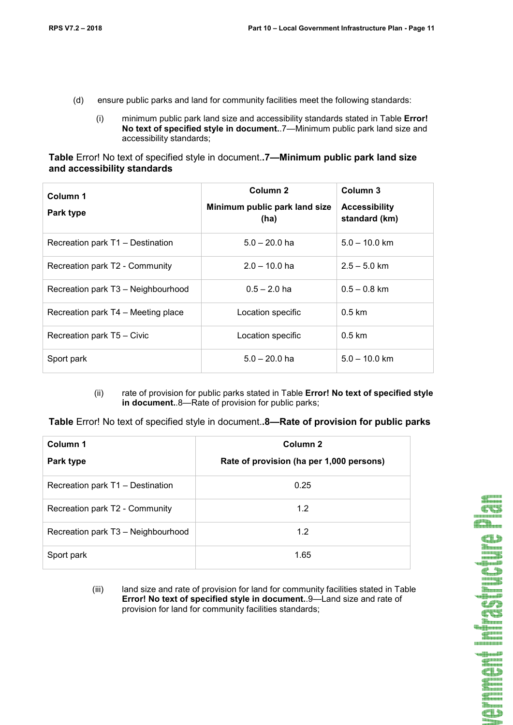- (d) ensure public parks and land for community facilities meet the following standards:
	- (i) minimum public park land size and accessibility standards stated in Table **Error! No text of specified style in document.**.7—Minimum public park land size and accessibility standards;

**Table** Error! No text of specified style in document.**.7—Minimum public park land size and accessibility standards** 

| Column 1<br>Park type              | Column 2<br>Minimum public park land size<br>(ha) | Column 3<br><b>Accessibility</b><br>standard (km) |
|------------------------------------|---------------------------------------------------|---------------------------------------------------|
| Recreation park T1 - Destination   | $5.0 - 20.0$ ha                                   | $5.0 - 10.0$ km                                   |
| Recreation park T2 - Community     | $2.0 - 10.0$ ha                                   | $2.5 - 5.0$ km                                    |
| Recreation park T3 - Neighbourhood | $0.5 - 2.0$ ha                                    | $0.5 - 0.8$ km                                    |
| Recreation park T4 – Meeting place | Location specific                                 | $0.5 \text{ km}$                                  |
| Recreation park T5 - Civic         | Location specific                                 | $0.5 \text{ km}$                                  |
| Sport park                         | $5.0 - 20.0$ ha                                   | $5.0 - 10.0$ km                                   |

(ii) rate of provision for public parks stated in Table **Error! No text of specified style in document.**.8—Rate of provision for public parks;

**Table** Error! No text of specified style in document.**.8—Rate of provision for public parks** 

| Column 1                           | Column <sub>2</sub>                      |  |  |
|------------------------------------|------------------------------------------|--|--|
| Park type                          | Rate of provision (ha per 1,000 persons) |  |  |
| Recreation park T1 - Destination   | 0.25                                     |  |  |
| Recreation park T2 - Community     | 1.2                                      |  |  |
| Recreation park T3 - Neighbourhood | 1.2                                      |  |  |
| Sport park                         | 1.65                                     |  |  |

(iii) land size and rate of provision for land for community facilities stated in Table **Error! No text of specified style in document.**.9—Land size and rate of provision for land for community facilities standards;



a arawan<br><mark>400 menang</mark> ------------**Signal Communists**  $41$ 

am maiain<br>Titte ann a CC d<sup>en</sup>n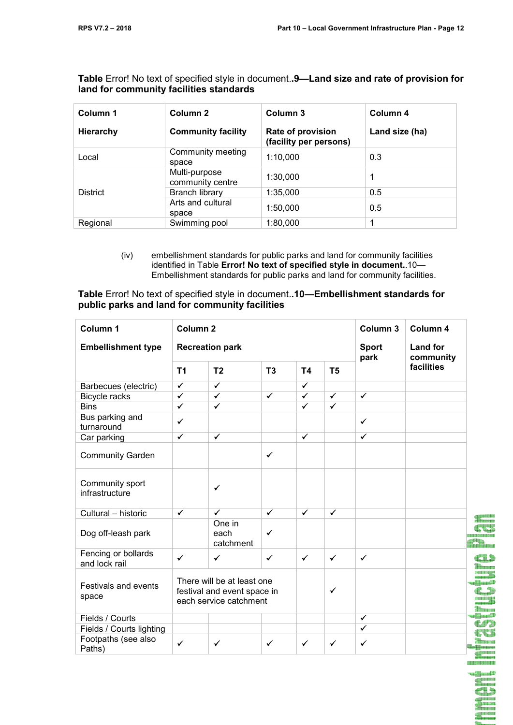**Column 1 Hierarchy Column 2 Community facility Column 3 Rate of provision (facility per persons) Column 4 Land size (ha)**  Local Community meeting space 1:10,000 0.3 **District** Multi-purpose community centre 1:30,000 1 Branch library 1:35,000 0.5 Arts and cultural space 1:50.000 0.5 Regional Swimming pool 1:80,000 1

**Table** Error! No text of specified style in document.**.9—Land size and rate of provision for land for community facilities standards** 

> (iv) embellishment standards for public parks and land for community facilities identified in Table **Error! No text of specified style in document.**.10— Embellishment standards for public parks and land for community facilities.

**Table** Error! No text of specified style in document.**.10—Embellishment standards for public parks and land for community facilities** 

| Column 1                             | Column <sub>2</sub>                                                                 |                             |                |                         |                      | Column 3                     | Column 4   |  |
|--------------------------------------|-------------------------------------------------------------------------------------|-----------------------------|----------------|-------------------------|----------------------|------------------------------|------------|--|
| <b>Embellishment type</b>            | <b>Recreation park</b>                                                              |                             |                |                         | <b>Sport</b><br>park | <b>Land for</b><br>community |            |  |
|                                      | T <sub>1</sub>                                                                      | T <sub>2</sub>              | T <sub>3</sub> | <b>T4</b>               | T <sub>5</sub>       |                              | facilities |  |
| Barbecues (electric)                 | $\overline{\checkmark}$                                                             | $\overline{\checkmark}$     |                | $\overline{\checkmark}$ |                      |                              |            |  |
| Bicycle racks                        | $\checkmark$                                                                        | $\checkmark$                | $\checkmark$   | $\checkmark$            | $\checkmark$         | $\checkmark$                 |            |  |
| <b>Bins</b>                          | $\overline{\checkmark}$                                                             | $\checkmark$                |                | $\overline{\checkmark}$ | $\checkmark$         |                              |            |  |
| Bus parking and<br>turnaround        | $\checkmark$                                                                        |                             |                |                         |                      | $\checkmark$                 |            |  |
| Car parking                          | $\checkmark$                                                                        | $\checkmark$                |                | $\checkmark$            |                      | ✓                            |            |  |
| <b>Community Garden</b>              |                                                                                     |                             | $\checkmark$   |                         |                      |                              |            |  |
| Community sport<br>infrastructure    |                                                                                     | ✓                           |                |                         |                      |                              |            |  |
| Cultural - historic                  | $\checkmark$                                                                        | $\checkmark$                | $\checkmark$   | $\checkmark$            | $\checkmark$         |                              |            |  |
| Dog off-leash park                   |                                                                                     | One in<br>each<br>catchment | $\checkmark$   |                         |                      |                              |            |  |
| Fencing or bollards<br>and lock rail | $\checkmark$                                                                        | $\checkmark$                | $\checkmark$   | $\checkmark$            | $\checkmark$         | $\checkmark$                 |            |  |
| Festivals and events<br>space        | There will be at least one<br>festival and event space in<br>each service catchment |                             |                |                         | ✓                    |                              |            |  |
| Fields / Courts                      |                                                                                     |                             |                |                         |                      | $\checkmark$                 |            |  |
| Fields / Courts lighting             |                                                                                     |                             |                |                         |                      | $\overline{\checkmark}$      |            |  |
| Footpaths (see also<br>Paths)        | $\checkmark$                                                                        | $\checkmark$                | $\checkmark$   | $\checkmark$            | $\checkmark$         | $\checkmark$                 |            |  |
|                                      |                                                                                     |                             |                |                         |                      |                              |            |  |

n**i K**aran**iki di Pinan**<br>Silahasa Œ

<u>grasa</u>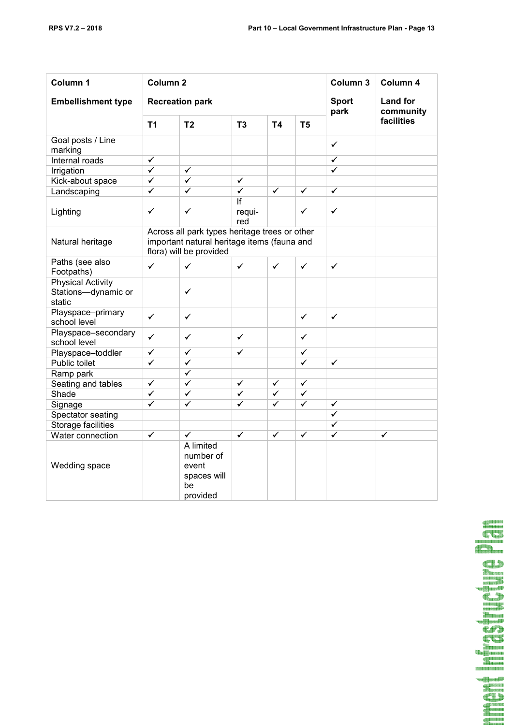| Column 1                                                  | Column <sub>2</sub>                                                                                                     |                                                                  |                         |                              |                         | Column 3                | Column 4     |
|-----------------------------------------------------------|-------------------------------------------------------------------------------------------------------------------------|------------------------------------------------------------------|-------------------------|------------------------------|-------------------------|-------------------------|--------------|
| <b>Embellishment type</b>                                 |                                                                                                                         | <b>Recreation park</b>                                           | <b>Sport</b><br>park    | <b>Land for</b><br>community |                         |                         |              |
|                                                           | T <sub>1</sub>                                                                                                          | T <sub>2</sub>                                                   | T <sub>3</sub>          | T4                           | T <sub>5</sub>          |                         | facilities   |
| Goal posts / Line<br>marking                              |                                                                                                                         |                                                                  |                         |                              |                         | ✓                       |              |
| Internal roads                                            | $\checkmark$                                                                                                            |                                                                  |                         |                              |                         | ✓                       |              |
| Irrigation                                                | $\overline{\checkmark}$                                                                                                 | $\overline{\checkmark}$                                          |                         |                              |                         | ✓                       |              |
| Kick-about space                                          | $\overline{\checkmark}$                                                                                                 | $\overline{\checkmark}$                                          | $\overline{\checkmark}$ |                              |                         |                         |              |
| Landscaping                                               | $\checkmark$                                                                                                            | $\overline{\checkmark}$                                          | $\overline{\checkmark}$ | $\overline{\checkmark}$      | $\checkmark$            | $\checkmark$            |              |
| Lighting                                                  | ✓                                                                                                                       | ✓                                                                | If<br>requi-<br>red     |                              | ✓                       | ✓                       |              |
| Natural heritage                                          | Across all park types heritage trees or other<br>important natural heritage items (fauna and<br>flora) will be provided |                                                                  |                         |                              |                         |                         |              |
| Paths (see also<br>Footpaths)                             | $\checkmark$                                                                                                            | $\checkmark$                                                     | $\checkmark$            | $\checkmark$                 | $\checkmark$            | $\checkmark$            |              |
| <b>Physical Activity</b><br>Stations-dynamic or<br>static |                                                                                                                         | ✓                                                                |                         |                              |                         |                         |              |
| Playspace-primary<br>school level                         | $\checkmark$                                                                                                            | ✓                                                                |                         |                              | $\checkmark$            | $\checkmark$            |              |
| Playspace-secondary<br>school level                       | $\checkmark$                                                                                                            | ✓                                                                | $\checkmark$            |                              | $\checkmark$            |                         |              |
| Playspace-toddler                                         | $\overline{\checkmark}$                                                                                                 | $\checkmark$                                                     | $\checkmark$            |                              | $\checkmark$            |                         |              |
| Public toilet                                             | $\checkmark$                                                                                                            | ✓                                                                |                         |                              | $\checkmark$            | $\overline{\checkmark}$ |              |
| Ramp park                                                 |                                                                                                                         | $\overline{\checkmark}$                                          |                         |                              |                         |                         |              |
| Seating and tables                                        | $\checkmark$                                                                                                            | $\checkmark$                                                     | $\checkmark$            | $\checkmark$                 | ✓                       |                         |              |
| Shade                                                     | $\checkmark$                                                                                                            | ✓                                                                | $\overline{\checkmark}$ | $\checkmark$                 | $\checkmark$            |                         |              |
| Signage                                                   | $\checkmark$                                                                                                            | $\checkmark$                                                     | $\checkmark$            | $\overline{\checkmark}$      | $\checkmark$            | $\checkmark$            |              |
| Spectator seating                                         |                                                                                                                         |                                                                  |                         |                              |                         | $\overline{\checkmark}$ |              |
| <b>Storage facilities</b>                                 |                                                                                                                         |                                                                  |                         |                              |                         | $\checkmark$            |              |
| Water connection                                          | $\checkmark$                                                                                                            | ✓                                                                | $\overline{\checkmark}$ | $\overline{\checkmark}$      | $\overline{\checkmark}$ | ✓                       | $\checkmark$ |
| Wedding space                                             |                                                                                                                         | A limited<br>number of<br>event<br>spaces will<br>be<br>provided |                         |                              |                         |                         |              |

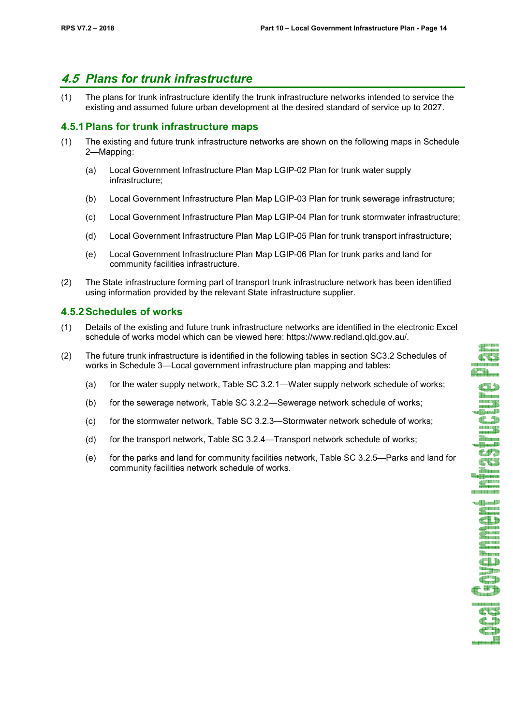**de Sana**<br>Shamma **CUS**  $\mathbb{Z}$ 

**CL3** Thurs de la construcción **C.3** tin<br>Manaza dia.  $C$ 65 **SHAMMAN** 888888888 u Massill **TANKIN** d gunn **TELESIS Carl Contractor CLD**  $\bullet$  T)

an an D

# **4.5** *Plans for trunk infrastructure*

(1) The plans for trunk infrastructure identify the trunk infrastructure networks intended to service the existing and assumed future urban development at the desired standard of service up to 2027.

## **4.5.1 Plans for trunk infrastructure maps**

- (1) The existing and future trunk infrastructure networks are shown on the following maps in Schedule 2—Mapping:
	- (a) Local Government Infrastructure Plan Map LGIP-02 Plan for trunk water supply infrastructure;
	- (b) Local Government Infrastructure Plan Map LGIP-03 Plan for trunk sewerage infrastructure;
	- (c) Local Government Infrastructure Plan Map LGIP-04 Plan for trunk stormwater infrastructure;
	- (d) Local Government Infrastructure Plan Map LGIP-05 Plan for trunk transport infrastructure;
	- (e) Local Government Infrastructure Plan Map LGIP-06 Plan for trunk parks and land for community facilities infrastructure.
- (2) The State infrastructure forming part of transport trunk infrastructure network has been identified using information provided by the relevant State infrastructure supplier.

## **4.5.2 Schedules of works**

- (1) Details of the existing and future trunk infrastructure networks are identified in the electronic Excel schedule of works model which can be viewed here: https://www.redland.qld.gov.au/.
- (2) The future trunk infrastructure is identified in the following tables in section SC3.2 Schedules of works in Schedule 3—Local government infrastructure plan mapping and tables:
	- (a) for the water supply network, Table SC 3.2.1—Water supply network schedule of works;
	- (b) for the sewerage network, Table SC 3.2.2—Sewerage network schedule of works;
	- (c) for the stormwater network, Table SC 3.2.3—Stormwater network schedule of works;
	- (d) for the transport network, Table SC 3.2.4—Transport network schedule of works;
	- (e) for the parks and land for community facilities network, Table SC 3.2.5—Parks and land for community facilities network schedule of works.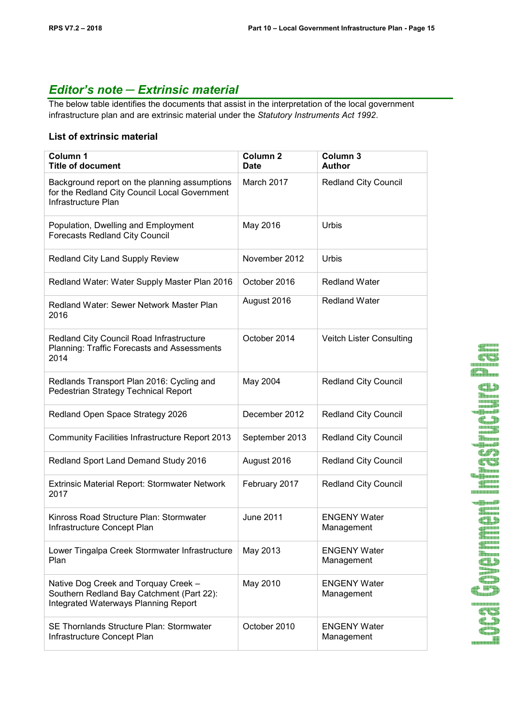# *Editor's note ─ Extrinsic material*

The below table identifies the documents that assist in the interpretation of the local government infrastructure plan and are extrinsic material under the *Statutory Instruments Act 1992*.

#### **List of extrinsic material**

| Column 1<br><b>Title of document</b>                                                                                             | Column <sub>2</sub><br><b>Date</b> | Column 3<br><b>Author</b>         |
|----------------------------------------------------------------------------------------------------------------------------------|------------------------------------|-----------------------------------|
| Background report on the planning assumptions<br>for the Redland City Council Local Government<br>Infrastructure Plan            | March 2017                         | Redland City Council              |
| Population, Dwelling and Employment<br><b>Forecasts Redland City Council</b>                                                     | May 2016                           | <b>Urbis</b>                      |
| Redland City Land Supply Review                                                                                                  | November 2012                      | <b>Urbis</b>                      |
| Redland Water: Water Supply Master Plan 2016                                                                                     | October 2016                       | <b>Redland Water</b>              |
| Redland Water: Sewer Network Master Plan<br>2016                                                                                 | August 2016                        | <b>Redland Water</b>              |
| Redland City Council Road Infrastructure<br>Planning: Traffic Forecasts and Assessments<br>2014                                  | October 2014                       | Veitch Lister Consulting          |
| Redlands Transport Plan 2016: Cycling and<br>Pedestrian Strategy Technical Report                                                | May 2004                           | <b>Redland City Council</b>       |
| Redland Open Space Strategy 2026                                                                                                 | December 2012                      | <b>Redland City Council</b>       |
| Community Facilities Infrastructure Report 2013                                                                                  | September 2013                     | <b>Redland City Council</b>       |
| Redland Sport Land Demand Study 2016                                                                                             | August 2016                        | <b>Redland City Council</b>       |
| Extrinsic Material Report: Stormwater Network<br>2017                                                                            | February 2017                      | <b>Redland City Council</b>       |
| Kinross Road Structure Plan: Stormwater<br>Infrastructure Concept Plan                                                           | <b>June 2011</b>                   | <b>ENGENY Water</b><br>Management |
| Lower Tingalpa Creek Stormwater Infrastructure<br>Plan                                                                           | May 2013                           | <b>ENGENY Water</b><br>Management |
| Native Dog Creek and Torquay Creek -<br>Southern Redland Bay Catchment (Part 22):<br><b>Integrated Waterways Planning Report</b> | May 2010                           | <b>ENGENY Water</b><br>Management |
| SE Thornlands Structure Plan: Stormwater<br>Infrastructure Concept Plan                                                          | October 2010                       | <b>ENGENY Water</b><br>Management |

CD a<br>Banan - **Maril C.S**  $C$ CU **HIMMHAMMER** 

 $\overline{\mathbf{C}}$ T Shannon **Thomas** CD O  $\mathbb{C}$  in  $\mathbb{D}$ 

**CT** 

€